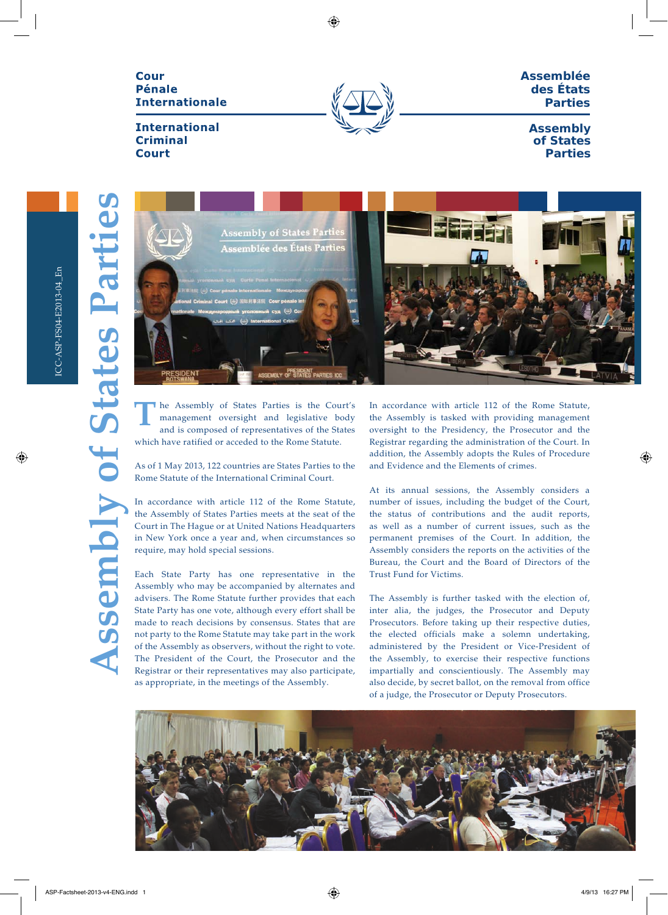# Cour **Pénale Internationale**



**Assemblée des États Parties**

# **International Criminal Court**

**Assembly of States Parties**

**Assembly of States Parties**

**Assembly of States Parti** 



he Assembly of States Parties is the Court's management oversight and legislative body and is composed of representatives of the States which have ratified or acceded to the Rome Statute. **T**

As of 1 May 2013, 122 countries are States Parties to the Rome Statute of the International Criminal Court.

In accordance with article 112 of the Rome Statute, the Assembly of States Parties meets at the seat of the Court in The Hague or at United Nations Headquarters in New York once a year and, when circumstances so require, may hold special sessions.

Each State Party has one representative in the Assembly who may be accompanied by alternates and advisers. The Rome Statute further provides that each State Party has one vote, although every effort shall be made to reach decisions by consensus. States that are not party to the Rome Statute may take part in the work of the Assembly as observers, without the right to vote. The President of the Court, the Prosecutor and the Registrar or their representatives may also participate, as appropriate, in the meetings of the Assembly.

In accordance with article 112 of the Rome Statute, the Assembly is tasked with providing management oversight to the Presidency, the Prosecutor and the Registrar regarding the administration of the Court. In addition, the Assembly adopts the Rules of Procedure and Evidence and the Elements of crimes.

At its annual sessions, the Assembly considers a number of issues, including the budget of the Court, the status of contributions and the audit reports, as well as a number of current issues, such as the permanent premises of the Court. In addition, the Assembly considers the reports on the activities of the Bureau, the Court and the Board of Directors of the Trust Fund for Victims.

The Assembly is further tasked with the election of, inter alia, the judges, the Prosecutor and Deputy Prosecutors. Before taking up their respective duties, the elected officials make a solemn undertaking, administered by the President or Vice-President of the Assembly, to exercise their respective functions impartially and conscientiously. The Assembly may also decide, by secret ballot, on the removal from office of a judge, the Prosecutor or Deputy Prosecutors.

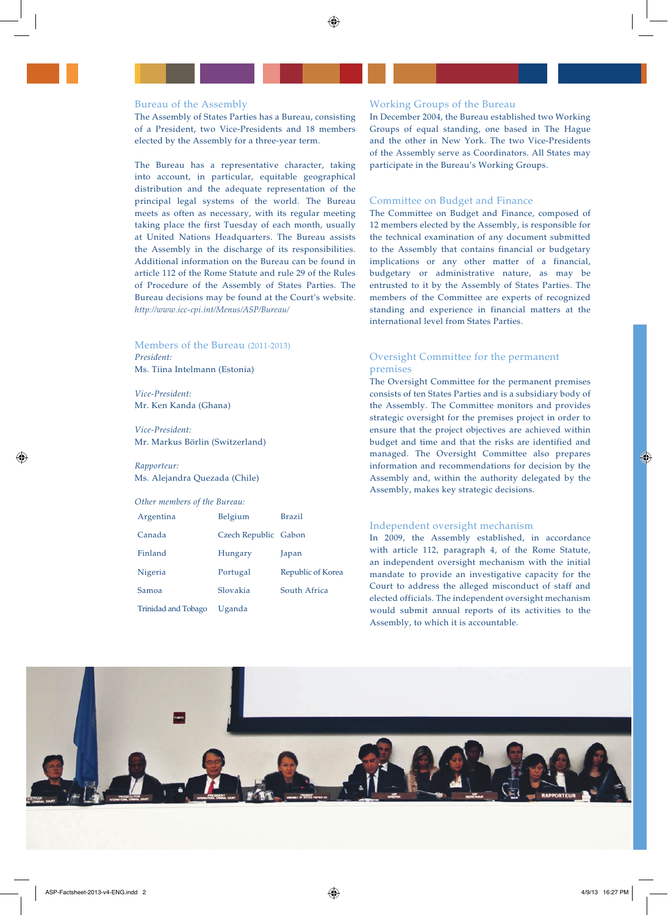### Bureau of the Assembly

The Assembly of States Parties has a Bureau, consisting of a President, two Vice-Presidents and 18 members elected by the Assembly for a three-year term.

The Bureau has a representative character, taking into account, in particular, equitable geographical distribution and the adequate representation of the principal legal systems of the world. The Bureau meets as often as necessary, with its regular meeting taking place the first Tuesday of each month, usually at United Nations Headquarters. The Bureau assists the Assembly in the discharge of its responsibilities. Additional information on the Bureau can be found in article 112 of the Rome Statute and rule 29 of the Rules of Procedure of the Assembly of States Parties. The Bureau decisions may be found at the Court's website. *http://www.icc-cpi.int/Menus/ASP/Bureau/* 

### Members of the Bureau (2011-2013) *President:*

Ms. Tiina Intelmann (Estonia)

*Vice-President:* Mr. Ken Kanda (Ghana)

*Vice-President:* Mr. Markus Börlin (Switzerland)

## *Rapporteur:*  Ms. Alejandra Quezada (Chile)

### *Other members of the Bureau:*

| Argentina                  | Belgium              | <b>Brazil</b>     |
|----------------------------|----------------------|-------------------|
| Canada                     | Czech Republic Gabon |                   |
| Finland                    | Hungary              | Japan             |
| Nigeria                    | Portugal             | Republic of Korea |
| Samoa                      | Slovakia             | South Africa      |
| <b>Trinidad and Tobago</b> | Uganda               |                   |

#### Working Groups of the Bureau

In December 2004, the Bureau established two Working Groups of equal standing, one based in The Hague and the other in New York. The two Vice-Presidents of the Assembly serve as Coordinators. All States may participate in the Bureau's Working Groups.

## Committee on Budget and Finance

The Committee on Budget and Finance, composed of 12 members elected by the Assembly, is responsible for the technical examination of any document submitted to the Assembly that contains financial or budgetary implications or any other matter of a financial, budgetary or administrative nature, as may be entrusted to it by the Assembly of States Parties. The members of the Committee are experts of recognized standing and experience in financial matters at the international level from States Parties.

# Oversight Committee for the permanent premises

The Oversight Committee for the permanent premises consists of ten States Parties and is a subsidiary body of the Assembly. The Committee monitors and provides strategic oversight for the premises project in order to ensure that the project objectives are achieved within budget and time and that the risks are identified and managed. The Oversight Committee also prepares information and recommendations for decision by the Assembly and, within the authority delegated by the Assembly, makes key strategic decisions.

### Independent oversight mechanism

In 2009, the Assembly established, in accordance with article 112, paragraph 4, of the Rome Statute, an independent oversight mechanism with the initial mandate to provide an investigative capacity for the Court to address the alleged misconduct of staff and elected officials. The independent oversight mechanism would submit annual reports of its activities to the Assembly, to which it is accountable.

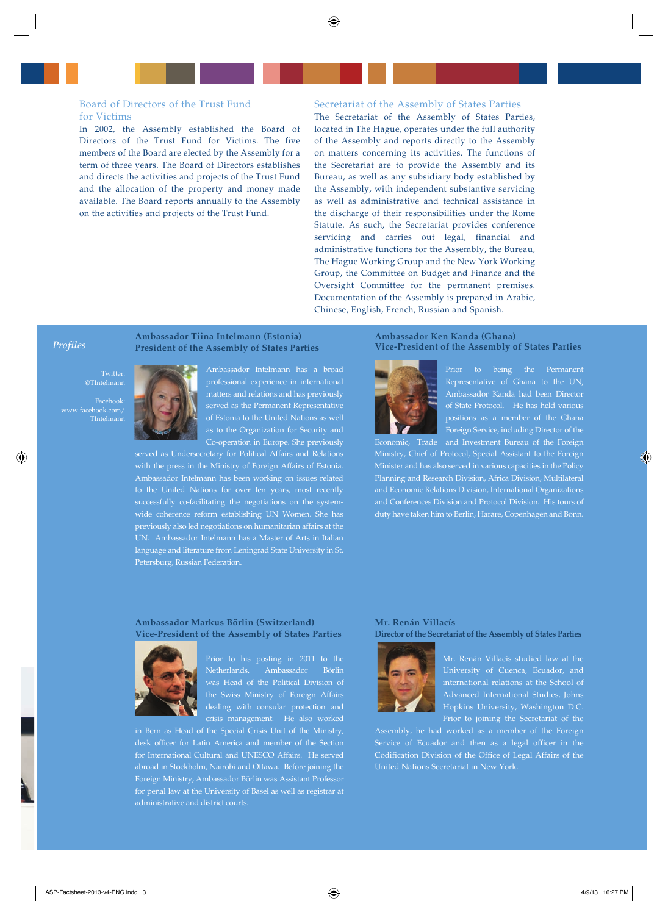## Board of Directors of the Trust Fund for Victims

In 2002, the Assembly established the Board of Directors of the Trust Fund for Victims. The five members of the Board are elected by the Assembly for a term of three years. The Board of Directors establishes and directs the activities and projects of the Trust Fund and the allocation of the property and money made available. The Board reports annually to the Assembly on the activities and projects of the Trust Fund.

### Secretariat of the Assembly of States Parties

The Secretariat of the Assembly of States Parties, located in The Hague, operates under the full authority of the Assembly and reports directly to the Assembly on matters concerning its activities. The functions of the Secretariat are to provide the Assembly and its Bureau, as well as any subsidiary body established by the Assembly, with independent substantive servicing as well as administrative and technical assistance in the discharge of their responsibilities under the Rome Statute. As such, the Secretariat provides conference servicing and carries out legal, financial and administrative functions for the Assembly, the Bureau, The Hague Working Group and the New York Working Group, the Committee on Budget and Finance and the Oversight Committee for the permanent premises. Documentation of the Assembly is prepared in Arabic, Chinese, English, French, Russian and Spanish.

#### *Profiles*

Twitter: @TIntelmann

Facebook: www.facebook.com/ TIntelmann



Ambassador Intelmann has a broad professional experience in international matters and relations and has previously served as the Permanent Representative of Estonia to the United Nations as well as to the Organization for Security and Co-operation in Europe. She previously

served as Undersecretary for Political Affairs and Relations with the press in the Ministry of Foreign Affairs of Estonia. Ambassador Intelmann has been working on issues related successfully co-facilitating the negotiations on the systemwide coherence reform establishing UN Women. She has previously also led negotiations on humanitarian affairs at the UN. Ambassador Intelmann has a Master of Arts in Italian language and literature from Leningrad State University in St. Petersburg, Russian Federation.

**Ambassador Tiina Intelmann (Estonia) President of the Assembly of States Parties**

### **Ambassador Ken Kanda (Ghana) Vice-President of the Assembly of States Parties**



Prior to being the Permanent Representative of Ghana to the UN, Ambassador Kanda had been Director of State Protocol. He has held various positions as a member of the Ghana Foreign Service, including Director of the

Economic, Trade and Investment Bureau of the Foreign Ministry, Chief of Protocol, Special Assistant to the Foreign Minister and has also served in various capacities in the Policy Planning and Research Division, Africa Division, Multilateral and Economic Relations Division, International Organizations and Conferences Division and Protocol Division. His tours of duty have taken him to Berlin, Harare, Copenhagen and Bonn.

## **Ambassador Markus Börlin (Switzerland) Vice-President of the Assembly of States Parties**



Prior to his posting in 2011 to the Netherlands, Ambassador Börlin was Head of the Political Division of the Swiss Ministry of Foreign Affairs dealing with consular protection and crisis management. He also worked

in Bern as Head of the Special Crisis Unit of the Ministry, for International Cultural and UNESCO Affairs. He served abroad in Stockholm, Nairobi and Ottawa. Before joining the Foreign Ministry, Ambassador Börlin was Assistant Professor for penal law at the University of Basel as well as registrar at administrative and district courts.

### **Mr. Renán Villacís Director of the Secretariat of the Assembly of States Parties**



Mr. Renán Villacís studied law at the international relations at the School of Advanced International Studies, Johns Hopkins University, Washington D.C. Prior to joining the Secretariat of the

Assembly, he had worked as a member of the Foreign Service of Ecuador and then as a legal officer in the Codification Division of the Office of Legal Affairs of the